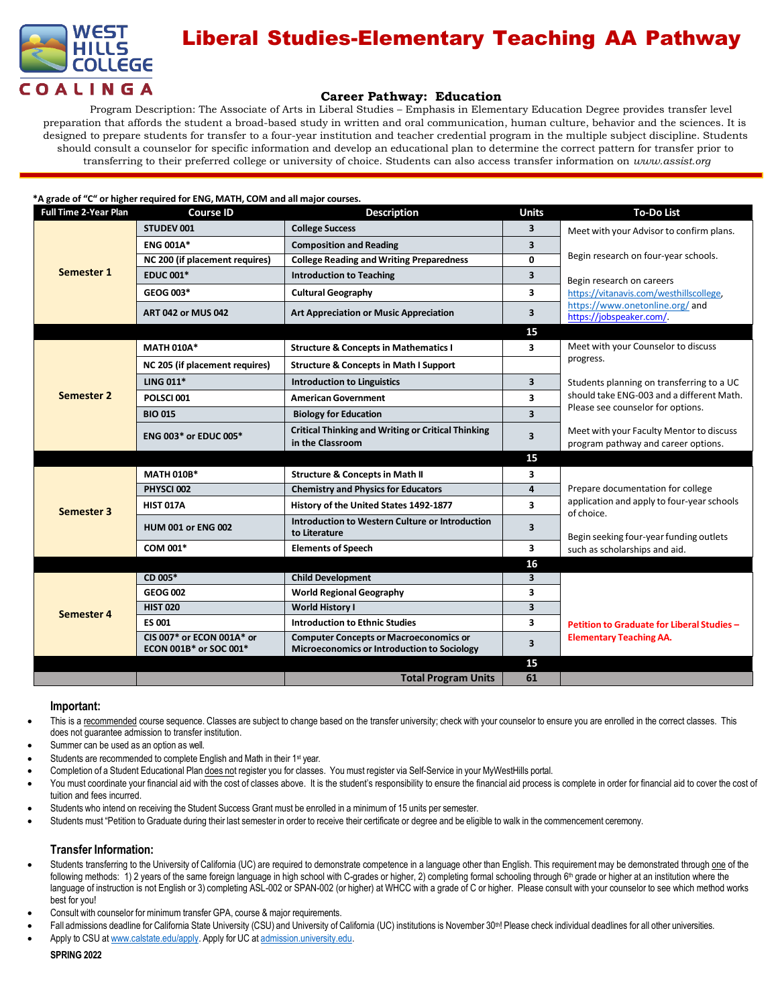

# Liberal Studies-Elementary Teaching AA Pathway

## **Career [Pathway:](http://www.broward.edu/academics/programs/Pages/social-behavioral-sciences-human-services-SBSHS.aspx) Education**

Program Description: The Associate of Arts in Liberal Studies – Emphasis in Elementary Education Degree provides transfer level preparation that affords the student a broad-based study in written and oral communication, human culture, behavior and the sciences. It is designed to prepare students for transfer to a four-year institution and teacher credential program in the multiple subject discipline. Students should consult a counselor for specific information and develop an educational plan to determine the correct pattern for transfer prior to transferring to their preferred college or university of choice. Students can also access transfer information on *[www.assist.org](http://www.assist.org/)*

#### **\*A grade of "C" or higher required for ENG, MATH, COM and all major courses.**

| <b>Full Time 2-Year Plan</b> | <b>Course ID</b>                                    | <b>Description</b>                                                                           | <b>Units</b>            | <b>To-Do List</b>                                                                   |
|------------------------------|-----------------------------------------------------|----------------------------------------------------------------------------------------------|-------------------------|-------------------------------------------------------------------------------------|
| Semester 1                   | STUDEV 001                                          | <b>College Success</b>                                                                       | 3                       | Meet with your Advisor to confirm plans.                                            |
|                              | <b>ENG 001A*</b>                                    | <b>Composition and Reading</b>                                                               | 3                       |                                                                                     |
|                              | NC 200 (if placement requires)                      | <b>College Reading and Writing Preparedness</b>                                              | $\Omega$                | Begin research on four-year schools.                                                |
|                              | <b>EDUC 001*</b>                                    | <b>Introduction to Teaching</b>                                                              | 3                       | Begin research on careers                                                           |
|                              | GEOG 003*                                           | <b>Cultural Geography</b>                                                                    | $\overline{\mathbf{3}}$ | https://vitanavis.com/westhillscollege,                                             |
|                              | <b>ART 042 or MUS 042</b>                           | <b>Art Appreciation or Music Appreciation</b>                                                | $\overline{\mathbf{3}}$ | https://www.onetonline.org/ and<br>https://jobspeaker.com/.                         |
|                              |                                                     |                                                                                              | 15                      |                                                                                     |
| <b>Semester 2</b>            | <b>MATH 010A*</b>                                   | <b>Structure &amp; Concepts in Mathematics I</b>                                             | 3                       | Meet with your Counselor to discuss                                                 |
|                              | NC 205 (if placement requires)                      | <b>Structure &amp; Concepts in Math I Support</b>                                            |                         | progress.                                                                           |
|                              | <b>LING 011*</b>                                    | <b>Introduction to Linguistics</b>                                                           | $\overline{\mathbf{3}}$ | Students planning on transferring to a UC                                           |
|                              | POLSCI001                                           | <b>American Government</b>                                                                   | 3                       | should take ENG-003 and a different Math.                                           |
|                              | <b>BIO 015</b>                                      | <b>Biology for Education</b>                                                                 | $\overline{\mathbf{3}}$ | Please see counselor for options.                                                   |
|                              | <b>ENG 003* or EDUC 005*</b>                        | <b>Critical Thinking and Writing or Critical Thinking</b><br>in the Classroom                | $\overline{\mathbf{3}}$ | Meet with your Faculty Mentor to discuss<br>program pathway and career options.     |
|                              |                                                     |                                                                                              | 15                      |                                                                                     |
|                              | <b>MATH 010B*</b>                                   | <b>Structure &amp; Concepts in Math II</b>                                                   | 3                       |                                                                                     |
|                              | PHYSCI 002                                          | <b>Chemistry and Physics for Educators</b>                                                   | 4                       | Prepare documentation for college                                                   |
| <b>Semester 3</b>            | <b>HIST 017A</b>                                    | History of the United States 1492-1877                                                       | $\overline{\mathbf{3}}$ | application and apply to four-year schools<br>of choice.                            |
|                              | <b>HUM 001 or ENG 002</b>                           | Introduction to Western Culture or Introduction<br>to Literature                             | 3                       | Begin seeking four-year funding outlets                                             |
|                              | COM 001*                                            | <b>Elements of Speech</b>                                                                    | $\overline{\mathbf{3}}$ | such as scholarships and aid.                                                       |
|                              |                                                     |                                                                                              | 16                      |                                                                                     |
| <b>Semester 4</b>            | CD 005*                                             | <b>Child Development</b>                                                                     | 3                       |                                                                                     |
|                              | <b>GEOG 002</b>                                     | <b>World Regional Geography</b>                                                              | 3                       |                                                                                     |
|                              | <b>HIST 020</b>                                     | World History I                                                                              | $\overline{\mathbf{3}}$ |                                                                                     |
|                              | <b>ES 001</b>                                       | <b>Introduction to Ethnic Studies</b>                                                        | 3                       | <b>Petition to Graduate for Liberal Studies -</b><br><b>Elementary Teaching AA.</b> |
|                              | CIS 007* or ECON 001A* or<br>ECON 001B* or SOC 001* | <b>Computer Concepts or Macroeconomics or</b><br>Microeconomics or Introduction to Sociology | 3                       |                                                                                     |
|                              |                                                     |                                                                                              | 15                      |                                                                                     |
|                              |                                                     | <b>Total Program Units</b>                                                                   | 61                      |                                                                                     |

## **Important:**

- This is a recommended course sequence. Classes are subject to change based on the transfer university; check with your counselor to ensure you are enrolled in the correct classes. This does not guarantee admission to transfer institution.
- Summer can be used as an option as well.
- Students are recommended to complete English and Math in their 1<sup>st</sup> year.
- Completion of a Student Educational Plan does not register you for classes. You must register via Self-Service in your MyWestHills portal.
- You must coordinate your financial aid with the cost of classes above. It is the student's responsibility to ensure the financial aid process is complete in order for financial aid to cover the cost of tuition and fees incurred.
- Students who intend on receiving the Student Success Grant must be enrolled in a minimum of 15 units per semester.
- Students must "Petition to Graduate during their last semester in order to receive their certificate or degree and be eligible to walk in the commencement ceremony.

## **Transfer Information:**

- Students transferring to the University of California (UC) are required to demonstrate competence in a language other than English. This requirement may be demonstrated through one of the following methods: 1) 2 years of the same foreign language in high school with C-grades or higher, 2) completing formal schooling through 6<sup>th</sup> grade or higher at an institution where the language of instruction is not English or 3) completing ASL-002 or SPAN-002 (or higher) at WHCC with a grade of C or higher. Please consult with your counselor to see which method works best for you!
- Consult with counselor for minimum transfer GPA, course & major requirements.
- Fall admissions deadline for California State University (CSU) and University of California (UC) institutions is November 30<sup>th</sup>! Please check individual deadlines for all other universities.
- Apply to CSU at [www.calstate.edu/apply.](http://www.calstate.edu/apply) Apply for UC at [admission.university.edu.](http://www.apply.universityofcalifornia.edu/)
	- **SPRING 2022**